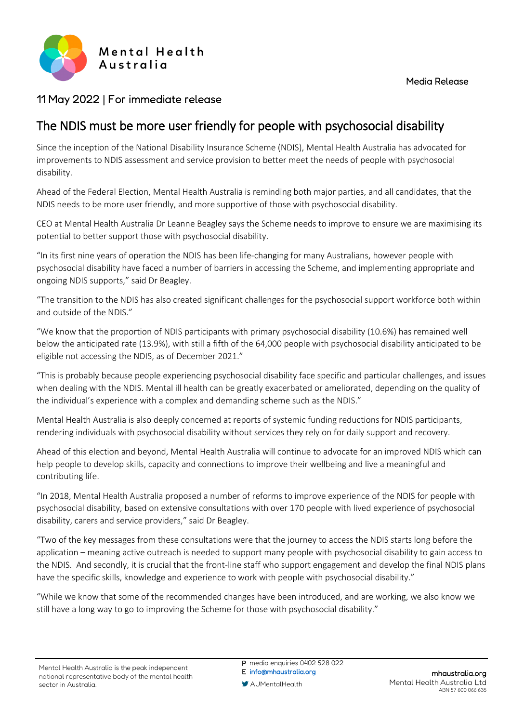

Media Release

## 11 May 2022 | For immediate release

## The NDIS must be more user friendly for people with psychosocial disability

Since the inception of the National Disability Insurance Scheme (NDIS), Mental Health Australia has advocated for improvements to NDIS assessment and service provision to better meet the needs of people with psychosocial disability.

Ahead of the Federal Election, Mental Health Australia is reminding both major parties, and all candidates, that the NDIS needs to be more user friendly, and more supportive of those with psychosocial disability.

CEO at Mental Health Australia Dr Leanne Beagley says the Scheme needs to improve to ensure we are maximising its potential to better support those with psychosocial disability.

"In its first nine years of operation the NDIS has been life-changing for many Australians, however people with psychosocial disability have faced a number of barriers in accessing the Scheme, and implementing appropriate and ongoing NDIS supports," said Dr Beagley.

"The transition to the NDIS has also created significant challenges for the psychosocial support workforce both within and outside of the NDIS."

"We know that the proportion of NDIS participants with primary psychosocial disability (10.6%) has remained well below the anticipated rate (13.9%), with still a fifth of the 64,000 people with psychosocial disability anticipated to be eligible not accessing the NDIS, as of December 2021."

"This is probably because people experiencing psychosocial disability face specific and particular challenges, and issues when dealing with the NDIS. Mental ill health can be greatly exacerbated or ameliorated, depending on the quality of the individual's experience with a complex and demanding scheme such as the NDIS."

Mental Health Australia is also deeply concerned at reports of systemic funding reductions for NDIS participants, rendering individuals with psychosocial disability without services they rely on for daily support and recovery.

Ahead of this election and beyond, Mental Health Australia will continue to advocate for an improved NDIS which can help people to develop skills, capacity and connections to improve their wellbeing and live a meaningful and contributing life.

"In 2018, Mental Health Australia proposed a number of reforms to improve experience of the NDIS for people with psychosocial disability, based on extensive consultations with over 170 people with lived experience of psychosocial disability, carers and service providers," said Dr Beagley.

"Two of the key messages from these consultations were that the journey to access the NDIS starts long before the application – meaning active outreach is needed to support many people with psychosocial disability to gain access to the NDIS. And secondly, it is crucial that the front-line staff who support engagement and develop the final NDIS plans have the specific skills, knowledge and experience to work with people with psychosocial disability."

"While we know that some of the recommended changes have been introduced, and are working, we also know we still have a long way to go to improving the Scheme for those with psychosocial disability."